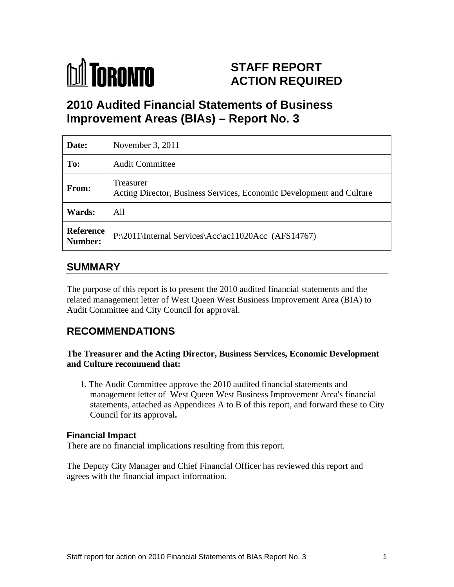

# **STAFF REPORT ACTION REQUIRED**

# **2010 Audited Financial Statements of Business Improvement Areas (BIAs) – Report No. 3**

| Date:                       | November 3, 2011                                                                  |
|-----------------------------|-----------------------------------------------------------------------------------|
| To:                         | <b>Audit Committee</b>                                                            |
| <b>From:</b>                | Treasurer<br>Acting Director, Business Services, Economic Development and Culture |
| <b>Wards:</b>               | All                                                                               |
| <b>Reference</b><br>Number: | $\Gamma$ P:\2011\Internal Services\Acc\ac11020Acc (AFS14767)                      |

## **SUMMARY**

The purpose of this report is to present the 2010 audited financial statements and the related management letter of West Queen West Business Improvement Area (BIA) to Audit Committee and City Council for approval.

## **RECOMMENDATIONS**

#### **The Treasurer and the Acting Director, Business Services, Economic Development and Culture recommend that:**

1. The Audit Committee approve the 2010 audited financial statements and management letter of West Queen West Business Improvement Area's financial statements, attached as Appendices A to B of this report, and forward these to City Council for its approval**.**

#### **Financial Impact**

There are no financial implications resulting from this report.

The Deputy City Manager and Chief Financial Officer has reviewed this report and agrees with the financial impact information.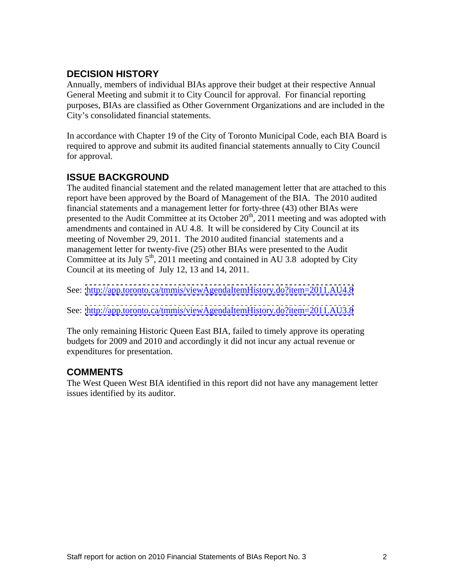## **DECISION HISTORY**

Annually, members of individual BIAs approve their budget at their respective Annual General Meeting and submit it to City Council for approval. For financial reporting purposes, BIAs are classified as Other Government Organizations and are included in the City's consolidated financial statements.

In accordance with Chapter 19 of the City of Toronto Municipal Code, each BIA Board is required to approve and submit its audited financial statements annually to City Council for approval.

### **ISSUE BACKGROUND**

The audited financial statement and the related management letter that are attached to this report have been approved by the Board of Management of the BIA. The 2010 audited financial statements and a management letter for forty-three (43) other BIAs were presented to the Audit Committee at its October  $20<sup>th</sup>$ , 2011 meeting and was adopted with amendments and contained in AU 4.8. It will be considered by City Council at its meeting of November 29, 2011. The 2010 audited financial statements and a management letter for twenty-five (25) other BIAs were presented to the Audit Committee at its July  $5<sup>th</sup>$ , 2011 meeting and contained in AU 3.8 adopted by City

Council at its meeting of July 12, 13 and 14, 2011.<br>See: <u><http://app.toronto.ca/tmmis/viewAgendaItemHistory.do?item=2011.AU4.8></u>

See: <http://app.toronto.ca/tmmis/viewAgendaItemHistory.do?item=2011.AU3.8>

The only remaining Historic Queen East BIA, failed to timely approve its operating budgets for 2009 and 2010 and accordingly it did not incur any actual revenue or expenditures for presentation.

## **COMMENTS**

The West Queen West BIA identified in this report did not have any management letter issues identified by its auditor.